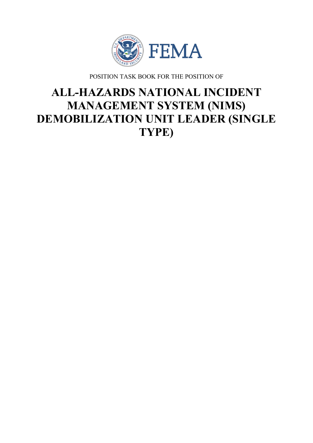

POSITION TASK BOOK FOR THE POSITION OF

# **ALL-HAZARDS NATIONAL INCIDENT MANAGEMENT SYSTEM (NIMS) DEMOBILIZATION UNIT LEADER (SINGLE TYPE)**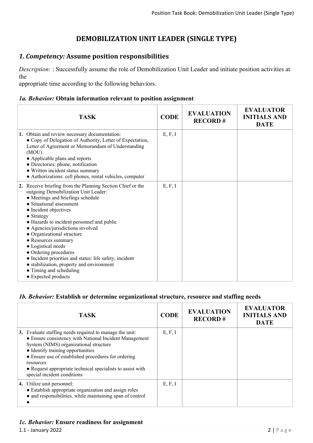# **DEMOBILIZATION UNIT LEADER (SINGLE TYPE)**

# *1. Competency:* **Assume position responsibilities**

*Description:* : Successfully assume the role of Demobilization Unit Leader and initiate position activities at the

appropriate time according to the following behaviors.

#### *1a. Behavior:* **Obtain information relevant to position assignment**

| <b>TASK</b>                                                                                                                                                                                                                                                                                                                                                                                                                                                                                                                                                 | <b>CODE</b> | <b>EVALUATION</b><br><b>RECORD#</b> | <b>EVALUATOR</b><br><b>INITIALS AND</b><br><b>DATE</b> |
|-------------------------------------------------------------------------------------------------------------------------------------------------------------------------------------------------------------------------------------------------------------------------------------------------------------------------------------------------------------------------------------------------------------------------------------------------------------------------------------------------------------------------------------------------------------|-------------|-------------------------------------|--------------------------------------------------------|
| 1. Obtain and review necessary documentation:<br>• Copy of Delegation of Authority, Letter of Expectation,<br>Letter of Agreement or Memorandum of Understanding<br>(MOU)<br>• Applicable plans and reports<br>• Directories: phone, notification<br>• Written incident status summary<br>• Authorizations: cell phones, rental vehicles, computer                                                                                                                                                                                                          | E, F, I     |                                     |                                                        |
| 2. Receive briefing from the Planning Section Chief or the<br>outgoing Demobilization Unit Leader:<br>• Meetings and briefings schedule<br>• Situational assessment<br>• Incident objectives<br>• Strategy<br>• Hazards to incident personnel and public<br>• Agencies/jurisdictions involved<br>• Organizational structure<br>• Resources summary<br>• Logistical needs<br>• Ordering procedures<br>• Incident priorities and status: life safety, incident<br>• stabilization, property and environment<br>• Timing and scheduling<br>• Expected products | E, F, I     |                                     |                                                        |

#### *1b. Behavior:* **Establish or determine organizational structure, resource and staffing needs**

| <b>TASK</b>                                                                                                                                                                                                                                                                                                                                                       | <b>CODE</b> | <b>EVALUATION</b><br><b>RECORD#</b> | <b>EVALUATOR</b><br><b>INITIALS AND</b><br><b>DATE</b> |
|-------------------------------------------------------------------------------------------------------------------------------------------------------------------------------------------------------------------------------------------------------------------------------------------------------------------------------------------------------------------|-------------|-------------------------------------|--------------------------------------------------------|
| 3. Evaluate staffing needs required to manage the unit:<br>• Ensure consistency with National Incident Management<br>System (NIMS) organizational structure<br>• Identify training opportunities<br>• Ensure use of established procedures for ordering<br>resources<br>• Request appropriate technical specialists to assist with<br>special incident conditions | E, F, I     |                                     |                                                        |
| <b>4.</b> Utilize unit personnel:<br>• Establish appropriate organization and assign roles<br>• and responsibilities, while maintaining span of control                                                                                                                                                                                                           | E, F, I     |                                     |                                                        |

#### *1c. Behavior:* **Ensure readiness for assignment**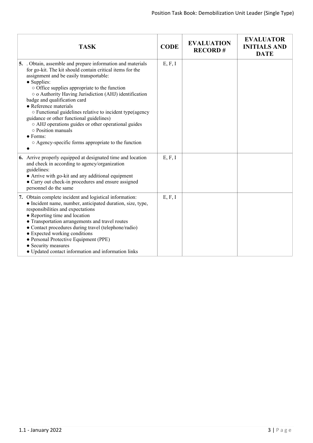| <b>TASK</b>                                                                                                                                                                                                                                                                                                                                                                                                                                                                                                                                                                                                                | <b>CODE</b> | <b>EVALUATION</b><br><b>RECORD#</b> | <b>EVALUATOR</b><br><b>INITIALS AND</b><br><b>DATE</b> |
|----------------------------------------------------------------------------------------------------------------------------------------------------------------------------------------------------------------------------------------------------------------------------------------------------------------------------------------------------------------------------------------------------------------------------------------------------------------------------------------------------------------------------------------------------------------------------------------------------------------------------|-------------|-------------------------------------|--------------------------------------------------------|
| 5. Obtain, assemble and prepare information and materials<br>for go-kit. The kit should contain critical items for the<br>assignment and be easily transportable:<br>• Supplies:<br>$\circ$ Office supplies appropriate to the function<br>o o Authority Having Jurisdiction (AHJ) identification<br>badge and qualification card<br>• Reference materials<br>o Functional guidelines relative to incident type(agency<br>guidance or other functional guidelines)<br>o AHJ operations guides or other operational guides<br>o Position manuals<br>$\bullet$ Forms:<br>○ Agency-specific forms appropriate to the function | E, F, I     |                                     |                                                        |
| 6. Arrive properly equipped at designated time and location<br>and check in according to agency/organization<br>guidelines:<br>• Arrive with go-kit and any additional equipment<br>• Carry out check-in procedures and ensure assigned<br>personnel do the same                                                                                                                                                                                                                                                                                                                                                           | E, F, I     |                                     |                                                        |
| 7. Obtain complete incident and logistical information:<br>• Incident name, number, anticipated duration, size, type,<br>responsibilities and expectations<br>• Reporting time and location<br>• Transportation arrangements and travel routes<br>• Contact procedures during travel (telephone/radio)<br>• Expected working conditions<br>· Personal Protective Equipment (PPE)<br>• Security measures<br>• Updated contact information and information links                                                                                                                                                             | E, F, I     |                                     |                                                        |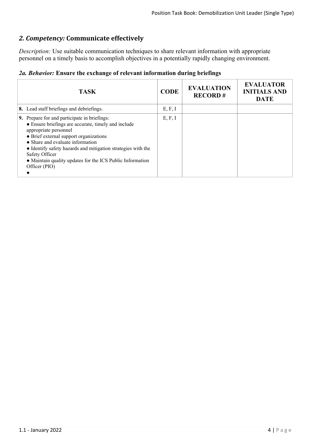# *2. Competency:* **Communicate effectively**

*Description:* Use suitable communication techniques to share relevant information with appropriate personnel on a timely basis to accomplish objectives in a potentially rapidly changing environment.

|  |  |  |  |  | 2a. Behavior: Ensure the exchange of relevant information during briefings |  |  |
|--|--|--|--|--|----------------------------------------------------------------------------|--|--|
|--|--|--|--|--|----------------------------------------------------------------------------|--|--|

| <b>TASK</b>                                                                                                                                                                                                                                                                                                                                                                | <b>CODE</b> | <b>EVALUATION</b><br><b>RECORD#</b> | <b>EVALUATOR</b><br><b>INITIALS AND</b><br><b>DATE</b> |
|----------------------------------------------------------------------------------------------------------------------------------------------------------------------------------------------------------------------------------------------------------------------------------------------------------------------------------------------------------------------------|-------------|-------------------------------------|--------------------------------------------------------|
| 8. Lead staff briefings and debriefings.                                                                                                                                                                                                                                                                                                                                   | E, F, I     |                                     |                                                        |
| 9. Prepare for and participate in briefings:<br>• Ensure briefings are accurate, timely and include<br>appropriate personnel<br>• Brief external support organizations<br>• Share and evaluate information<br>• Identify safety hazards and mitigation strategies with the<br>Safety Officer<br>• Maintain quality updates for the ICS Public Information<br>Officer (PIO) | E, F, I     |                                     |                                                        |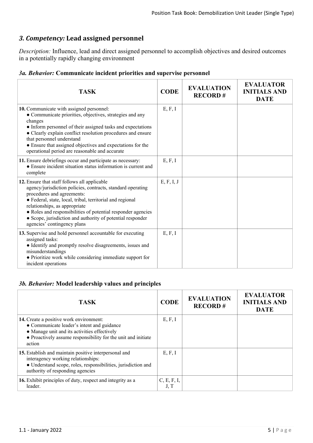# *3. Competency:* **Lead assigned personnel**

*Description:* Influence, lead and direct assigned personnel to accomplish objectives and desired outcomes in a potentially rapidly changing environment

|  |  | 3a. Behavior: Communicate incident priorities and supervise personnel |  |  |  |  |
|--|--|-----------------------------------------------------------------------|--|--|--|--|
|--|--|-----------------------------------------------------------------------|--|--|--|--|

| <b>TASK</b>                                                                                                                                                                                                                                                                                                                                                                                          | <b>CODE</b> | <b>EVALUATION</b><br><b>RECORD#</b> | <b>EVALUATOR</b><br><b>INITIALS AND</b><br><b>DATE</b> |
|------------------------------------------------------------------------------------------------------------------------------------------------------------------------------------------------------------------------------------------------------------------------------------------------------------------------------------------------------------------------------------------------------|-------------|-------------------------------------|--------------------------------------------------------|
| 10. Communicate with assigned personnel:<br>• Communicate priorities, objectives, strategies and any<br>changes<br>• Inform personnel of their assigned tasks and expectations<br>• Clearly explain conflict resolution procedures and ensure<br>that personnel understand<br>• Ensure that assigned objectives and expectations for the<br>operational period are reasonable and accurate           | E, F, I     |                                     |                                                        |
| 11. Ensure debriefings occur and participate as necessary:<br>• Ensure incident situation status information is current and<br>complete                                                                                                                                                                                                                                                              | E, F, I     |                                     |                                                        |
| 12. Ensure that staff follows all applicable<br>agency/jurisdiction policies, contracts, standard operating<br>procedures and agreements:<br>· Federal, state, local, tribal, territorial and regional<br>relationships, as appropriate<br>• Roles and responsibilities of potential responder agencies<br>• Scope, jurisdiction and authority of potential responder<br>agencies' contingency plans | E, F, I, J  |                                     |                                                        |
| 13. Supervise and hold personnel accountable for executing<br>assigned tasks:<br>• Identify and promptly resolve disagreements, issues and<br>misunderstandings<br>• Prioritize work while considering immediate support for<br>incident operations                                                                                                                                                  | E, F, I     |                                     |                                                        |

### *3b. Behavior:* **Model leadership values and principles**

| <b>TASK</b>                                                                                                                                                                                                      | <b>CODE</b>         | <b>EVALUATION</b><br><b>RECORD#</b> | <b>EVALUATOR</b><br><b>INITIALS AND</b><br><b>DATE</b> |
|------------------------------------------------------------------------------------------------------------------------------------------------------------------------------------------------------------------|---------------------|-------------------------------------|--------------------------------------------------------|
| 14. Create a positive work environment:<br>• Communicate leader's intent and guidance<br>• Manage unit and its activities effectively<br>• Proactively assume responsibility for the unit and initiate<br>action | E, F, I             |                                     |                                                        |
| 15. Establish and maintain positive interpersonal and<br>interagency working relationships:<br>• Understand scope, roles, responsibilities, jurisdiction and<br>authority of responding agencies                 | E, F, I             |                                     |                                                        |
| 16. Exhibit principles of duty, respect and integrity as a<br>leader.                                                                                                                                            | C, E, F, I,<br>J, T |                                     |                                                        |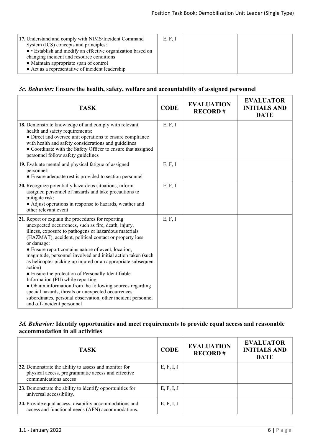| 17. Understand and comply with NIMS/Incident Command      | E, F, I |  |
|-----------------------------------------------------------|---------|--|
| System (ICS) concepts and principles:                     |         |  |
| • Establish and modify an effective organization based on |         |  |
| changing incident and resource conditions                 |         |  |
| • Maintain appropriate span of control                    |         |  |
| • Act as a representative of incident leadership          |         |  |
|                                                           |         |  |

#### *3c. Behavior:* **Ensure the health, safety, welfare and accountability of assigned personnel**

| <b>TASK</b>                                                                                                                                                                                                                                                                                                                                                                                                                                                                                                                                                                                                                                                                                                                                                 | <b>CODE</b> | <b>EVALUATION</b><br><b>RECORD#</b> | <b>EVALUATOR</b><br><b>INITIALS AND</b><br><b>DATE</b> |
|-------------------------------------------------------------------------------------------------------------------------------------------------------------------------------------------------------------------------------------------------------------------------------------------------------------------------------------------------------------------------------------------------------------------------------------------------------------------------------------------------------------------------------------------------------------------------------------------------------------------------------------------------------------------------------------------------------------------------------------------------------------|-------------|-------------------------------------|--------------------------------------------------------|
| 18. Demonstrate knowledge of and comply with relevant<br>health and safety requirements:<br>• Direct and oversee unit operations to ensure compliance<br>with health and safety considerations and guidelines<br>• Coordinate with the Safety Officer to ensure that assigned<br>personnel follow safety guidelines                                                                                                                                                                                                                                                                                                                                                                                                                                         | E, F, I     |                                     |                                                        |
| 19. Evaluate mental and physical fatigue of assigned<br>personnel:<br>• Ensure adequate rest is provided to section personnel                                                                                                                                                                                                                                                                                                                                                                                                                                                                                                                                                                                                                               | E, F, I     |                                     |                                                        |
| 20. Recognize potentially hazardous situations, inform<br>assigned personnel of hazards and take precautions to<br>mitigate risk:<br>• Adjust operations in response to hazards, weather and<br>other relevant event                                                                                                                                                                                                                                                                                                                                                                                                                                                                                                                                        | E, F, I     |                                     |                                                        |
| 21. Report or explain the procedures for reporting<br>unexpected occurrences, such as fire, death, injury,<br>illness, exposure to pathogens or hazardous materials<br>(HAZMAT), accident, political contact or property loss<br>or damage:<br>• Ensure report contains nature of event, location,<br>magnitude, personnel involved and initial action taken (such<br>as helicopter picking up injured or an appropriate subsequent<br>action)<br>• Ensure the protection of Personally Identifiable<br>Information (PII) while reporting<br>• Obtain information from the following sources regarding<br>special hazards, threats or unexpected occurrences:<br>subordinates, personal observation, other incident personnel<br>and off-incident personnel | E, F, I     |                                     |                                                        |

# *3d. Behavior:* **Identify opportunities and meet requirements to provide equal access and reasonable accommodation in all activities**

| <b>TASK</b>                                                                                                                          | <b>CODE</b> | <b>EVALUATION</b><br><b>RECORD#</b> | <b>EVALUATOR</b><br><b>INITIALS AND</b><br><b>DATE</b> |
|--------------------------------------------------------------------------------------------------------------------------------------|-------------|-------------------------------------|--------------------------------------------------------|
| 22. Demonstrate the ability to assess and monitor for<br>physical access, programmatic access and effective<br>communications access | E, F, I, J  |                                     |                                                        |
| 23. Demonstrate the ability to identify opportunities for<br>universal accessibility.                                                | E, F, I, J  |                                     |                                                        |
| 24. Provide equal access, disability accommodations and<br>access and functional needs (AFN) accommodations.                         | E, F, I, J  |                                     |                                                        |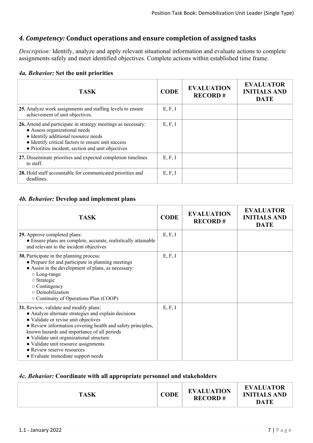# *4. Competency:* **Conduct operations and ensure completion of assigned tasks**

*Description:* Identify, analyze and apply relevant situational information and evaluate actions to complete assignments safely and meet identified objectives. Complete actions within established time frame.

#### *4a. Behavior:* **Set the unit priorities**

| <b>TASK</b>                                                                                                                                                                                                                                        | <b>CODE</b> | <b>EVALUATION</b><br><b>RECORD#</b> | <b>EVALUATOR</b><br><b>INITIALS AND</b><br><b>DATE</b> |
|----------------------------------------------------------------------------------------------------------------------------------------------------------------------------------------------------------------------------------------------------|-------------|-------------------------------------|--------------------------------------------------------|
| 25. Analyze work assignments and staffing levels to ensure<br>achievement of unit objectives.                                                                                                                                                      | E, F, I     |                                     |                                                        |
| 26. Attend and participate in strategy meetings as necessary:<br>• Assess organizational needs<br>• Identify additional resource needs<br>• Identify critical factors to ensure unit success<br>• Prioritize incident, section and unit objectives | E, F, I     |                                     |                                                        |
| 27. Disseminate priorities and expected completion timelines<br>to staff.                                                                                                                                                                          | E, F, I     |                                     |                                                        |
| 28. Hold staff accountable for communicated priorities and<br>deadlines.                                                                                                                                                                           | E, F, I     |                                     |                                                        |

#### *4b. Behavior:* **Develop and implement plans**

| <b>TASK</b>                                                                                                                                                                                                                                                                                                                                                                                                  | <b>CODE</b> | <b>EVALUATION</b><br><b>RECORD#</b> | <b>EVALUATOR</b><br><b>INITIALS AND</b><br><b>DATE</b> |
|--------------------------------------------------------------------------------------------------------------------------------------------------------------------------------------------------------------------------------------------------------------------------------------------------------------------------------------------------------------------------------------------------------------|-------------|-------------------------------------|--------------------------------------------------------|
| 29. Approve completed plans:<br>• Ensure plans are complete, accurate, realistically attainable<br>and relevant to the incident objectives                                                                                                                                                                                                                                                                   | E, F, I     |                                     |                                                        |
| <b>30.</b> Participate in the planning process:<br>• Prepare for and participate in planning meetings<br>• Assist in the development of plans, as necessary:<br>$\circ$ Long-range<br>o Strategic<br>$\circ$ Contingency<br>o Demobilization<br>○ Continuity of Operations Plan (COOP)                                                                                                                       | E, F, I     |                                     |                                                        |
| 31. Review, validate and modify plans:<br>• Analyze alternate strategies and explain decisions<br>• Validate or revise unit objectives<br>• Review information covering health and safety principles,<br>known hazards and importance of all periods<br>· Validate unit organizational structure<br>• Validate unit resource assignments<br>• Review reserve resources<br>• Evaluate immediate support needs | E, F, I     |                                     |                                                        |

#### *4c. Behavior:* **Coordinate with all appropriate personnel and stakeholders**

| <b>TASK</b> | <b>CODE</b> | <b>EVALUATION</b><br><b>RECORD#</b> | <b>EVALUATOR</b><br><b>INITIALS AND</b><br><b>DATE</b> |
|-------------|-------------|-------------------------------------|--------------------------------------------------------|
|             |             |                                     |                                                        |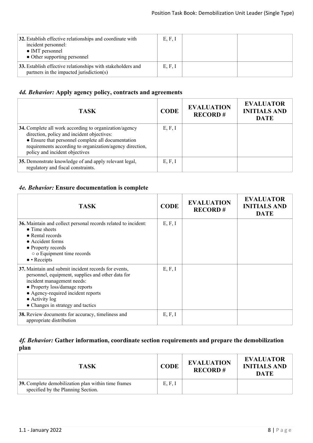| 32. Establish effective relationships and coordinate with<br>incident personnel:<br>• IMT personnel<br>• Other supporting personnel | E, F, I |  |
|-------------------------------------------------------------------------------------------------------------------------------------|---------|--|
| 33. Establish effective relationships with stakeholders and<br>partners in the impacted jurisdiction(s)                             | E, F, I |  |

# *4d. Behavior:* **Apply agency policy, contracts and agreements**

| <b>TASK</b>                                                                                                                                                                                                                                              | <b>CODE</b> | <b>EVALUATION</b><br><b>RECORD#</b> | <b>EVALUATOR</b><br><b>INITIALS AND</b><br><b>DATE</b> |
|----------------------------------------------------------------------------------------------------------------------------------------------------------------------------------------------------------------------------------------------------------|-------------|-------------------------------------|--------------------------------------------------------|
| 34. Complete all work according to organization/agency<br>direction, policy and incident objectives:<br>• Ensure that personnel complete all documentation<br>requirements according to organization/agency direction,<br>policy and incident objectives | E, F, I     |                                     |                                                        |
| 35. Demonstrate knowledge of and apply relevant legal,<br>regulatory and fiscal constraints.                                                                                                                                                             | E, F, I     |                                     |                                                        |

# *4e. Behavior:* **Ensure documentation is complete**

| <b>TASK</b>                                                                                                                                                                                                                                                                    | <b>CODE</b> | <b>EVALUATION</b><br><b>RECORD#</b> | <b>EVALUATOR</b><br><b>INITIALS AND</b><br><b>DATE</b> |
|--------------------------------------------------------------------------------------------------------------------------------------------------------------------------------------------------------------------------------------------------------------------------------|-------------|-------------------------------------|--------------------------------------------------------|
| 36. Maintain and collect personal records related to incident:<br>$\bullet$ Time sheets<br>• Rental records<br>• Accident forms<br>• Property records<br>• o Equipment time records<br>$\bullet$ • Receipts                                                                    | E, F, I     |                                     |                                                        |
| 37. Maintain and submit incident records for events,<br>personnel, equipment, supplies and other data for<br>incident management needs:<br>• Property loss/damage reports<br>• Agency-required incident reports<br>$\bullet$ Activity log<br>• Changes in strategy and tactics | E, F, I     |                                     |                                                        |
| 38. Review documents for accuracy, timeliness and<br>appropriate distribution                                                                                                                                                                                                  | E, F, I     |                                     |                                                        |

# *4f. Behavior:* **Gather information, coordinate section requirements and prepare the demobilization plan**

| <b>TASK</b>                                                                               | <b>CODE</b> | <b>EVALUATION</b><br><b>RECORD#</b> | <b>EVALUATOR</b><br><b>INITIALS AND</b><br>DATE |
|-------------------------------------------------------------------------------------------|-------------|-------------------------------------|-------------------------------------------------|
| 39. Complete demobilization plan within time frames<br>specified by the Planning Section. | E, F, I     |                                     |                                                 |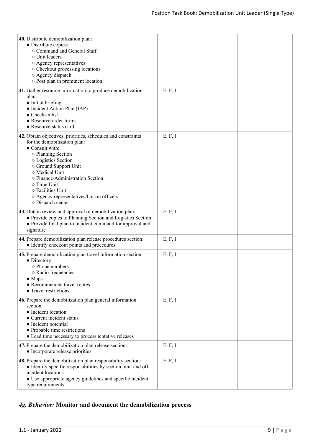| 40. Distribute demobilization plan:<br>• Distribute copies:<br>○ Command and General Staff<br>o Unit leaders<br>○ Agency representatives<br>○ Checkout processing locations<br>○ Agency dispatch<br>o Post plan in prominent location                                                                                                             |         |  |
|---------------------------------------------------------------------------------------------------------------------------------------------------------------------------------------------------------------------------------------------------------------------------------------------------------------------------------------------------|---------|--|
| 41. Gather resource information to produce demobilization<br>plan:<br>• Initial briefing<br>• Incident Action Plan (IAP)<br>• Check-in list<br>• Resource order forms<br>• Resource status card                                                                                                                                                   | E, F, I |  |
| 42. Obtain objectives, priorities, schedules and constraints<br>for the demobilization plan:<br>• Consult with:<br>o Planning Section<br>o Logistics Section<br>○ Ground Support Unit<br>o Medical Unit<br>o Finance/Administration Section<br>○ Time Unit<br>o Facilities Unit<br>o Agency representatives/liaison officers<br>o Dispatch center | E, F, I |  |
| 43. Obtain review and approval of demobilization plan:<br>• Provide copies to Planning Section and Logistics Section<br>• Provide final plan to incident command for approval and<br>signature                                                                                                                                                    | E, F, I |  |
| 44. Prepare demobilization plan release procedures section:<br>• Identify checkout points and procedures                                                                                                                                                                                                                                          | E, F, I |  |
| 45. Prepare demobilization plan travel information section:<br>• Directory:<br>o Phone numbers<br>o Radio frequencies<br>$\bullet$ Maps<br>• Recommended travel routes<br>• Travel restrictions                                                                                                                                                   | E, F, I |  |
| 46. Prepare the demobilization plan general information<br>section:<br>• Incident location<br>• Current incident status<br>• Incident potential<br>• Probable time restrictions<br>• Lead time necessary to process tentative releases                                                                                                            | E, F, I |  |
| 47. Prepare the demobilization plan release section:<br>• Incorporate release priorities                                                                                                                                                                                                                                                          | E, F, I |  |
| 48. Prepare the demobilization plan responsibility section:<br>• Identify specific responsibilities by section, unit and off-<br>incident locations<br>• Use appropriate agency guidelines and specific incident<br>type requirements                                                                                                             | E, F, I |  |

# *4g. Behavior:* **Monitor and document the demobilization process**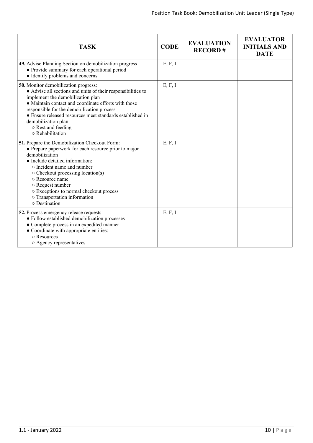| <b>TASK</b>                                                                                                                                                                                                                                                                                                                                                                          | <b>CODE</b> | <b>EVALUATION</b><br><b>RECORD#</b> | <b>EVALUATOR</b><br><b>INITIALS AND</b><br><b>DATE</b> |
|--------------------------------------------------------------------------------------------------------------------------------------------------------------------------------------------------------------------------------------------------------------------------------------------------------------------------------------------------------------------------------------|-------------|-------------------------------------|--------------------------------------------------------|
| 49. Advise Planning Section on demobilization progress<br>• Provide summary for each operational period<br>• Identify problems and concerns                                                                                                                                                                                                                                          | E, F, I     |                                     |                                                        |
| <b>50.</b> Monitor demobilization progress:<br>• Advise all sections and units of their responsibilities to<br>implement the demobilization plan<br>• Maintain contact and coordinate efforts with those<br>responsible for the demobilization process<br>• Ensure released resources meet standards established in<br>demobilization plan<br>○ Rest and feeding<br>○ Rehabilitation | E, F, I     |                                     |                                                        |
| 51. Prepare the Demobilization Checkout Form:<br>• Prepare paperwork for each resource prior to major<br>demobilization<br>• Include detailed information:<br>• Incident name and number<br>$\circ$ Checkout processing location(s)<br>o Resource name<br>○ Request number<br>○ Exceptions to normal checkout process<br>o Transportation information<br>o Destination               | E, F, I     |                                     |                                                        |
| 52. Process emergency release requests:<br>• Follow established demobilization processes<br>• Complete process in an expedited manner<br>• Coordinate with appropriate entities:<br>○ Resources<br>o Agency representatives                                                                                                                                                          | E, F, I     |                                     |                                                        |